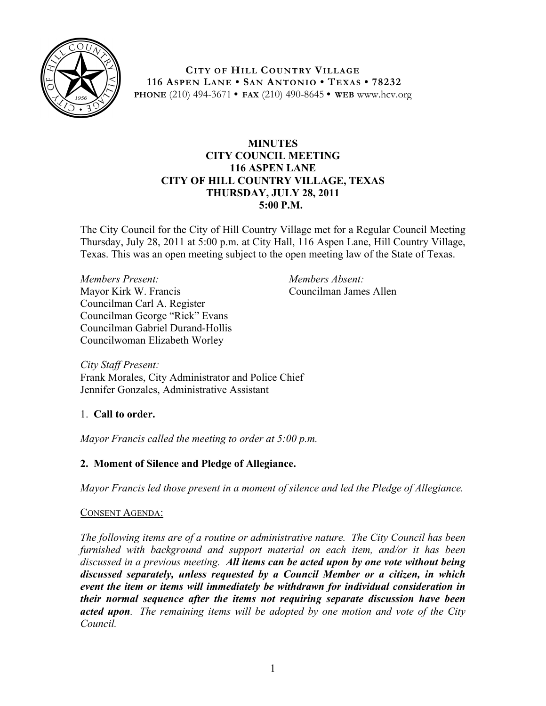

**CITY OF HILL COUNTRY VILLAGE 116 ASPEN LANE • SAN ANTONIO • TEXAS • 78232 PHONE** (210) 494-3671 **• FAX** (210) 490-8645 **• WEB** www.hcv.org

### **MINUTES CITY COUNCIL MEETING 116 ASPEN LANE CITY OF HILL COUNTRY VILLAGE, TEXAS THURSDAY, JULY 28, 2011 5:00 P.M.**

The City Council for the City of Hill Country Village met for a Regular Council Meeting Thursday, July 28, 2011 at 5:00 p.m. at City Hall, 116 Aspen Lane, Hill Country Village, Texas. This was an open meeting subject to the open meeting law of the State of Texas.

*Members Present:* Mayor Kirk W. Francis Councilman Carl A. Register Councilman George "Rick" Evans Councilman Gabriel Durand-Hollis Councilwoman Elizabeth Worley

*Members Absent:* Councilman James Allen

*City Staff Present:* Frank Morales, City Administrator and Police Chief Jennifer Gonzales, Administrative Assistant

1. **Call to order.**

*Mayor Francis called the meeting to order at 5:00 p.m.*

# **2. Moment of Silence and Pledge of Allegiance.**

*Mayor Francis led those present in a moment of silence and led the Pledge of Allegiance.*

## CONSENT AGENDA:

*The following items are of a routine or administrative nature. The City Council has been furnished with background and support material on each item, and/or it has been discussed in a previous meeting. All items can be acted upon by one vote without being discussed separately, unless requested by a Council Member or a citizen, in which event the item or items will immediately be withdrawn for individual consideration in their normal sequence after the items not requiring separate discussion have been acted upon. The remaining items will be adopted by one motion and vote of the City Council.*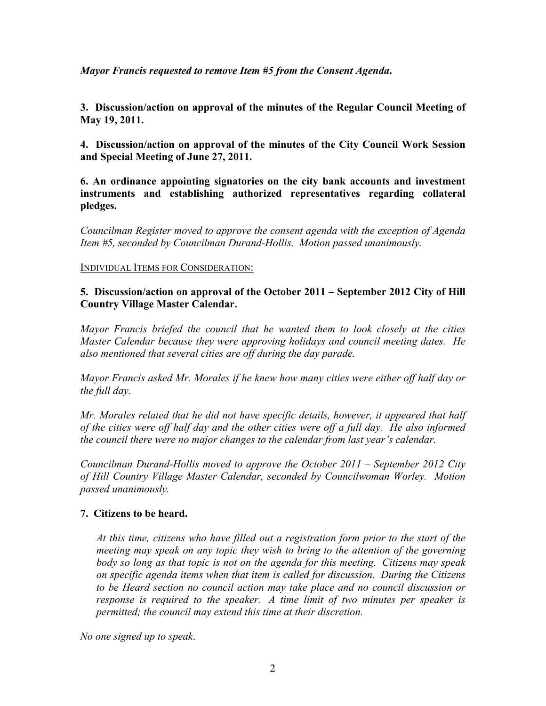*Mayor Francis requested to remove Item #5 from the Consent Agenda***.** 

**3. Discussion/action on approval of the minutes of the Regular Council Meeting of May 19, 2011.**

**4. Discussion/action on approval of the minutes of the City Council Work Session and Special Meeting of June 27, 2011.**

**6. An ordinance appointing signatories on the city bank accounts and investment instruments and establishing authorized representatives regarding collateral pledges.**

*Councilman Register moved to approve the consent agenda with the exception of Agenda Item #5, seconded by Councilman Durand-Hollis. Motion passed unanimously.*

INDIVIDUAL ITEMS FOR CONSIDERATION:

### **5. Discussion/action on approval of the October 2011 – September 2012 City of Hill Country Village Master Calendar.**

*Mayor Francis briefed the council that he wanted them to look closely at the cities Master Calendar because they were approving holidays and council meeting dates. He also mentioned that several cities are off during the day parade.* 

*Mayor Francis asked Mr. Morales if he knew how many cities were either off half day or the full day.*

*Mr. Morales related that he did not have specific details, however, it appeared that half of the cities were off half day and the other cities were off a full day. He also informed the council there were no major changes to the calendar from last year's calendar.*

*Councilman Durand-Hollis moved to approve the October 2011 – September 2012 City of Hill Country Village Master Calendar, seconded by Councilwoman Worley. Motion passed unanimously.*

## **7. Citizens to be heard.**

*At this time, citizens who have filled out a registration form prior to the start of the meeting may speak on any topic they wish to bring to the attention of the governing body so long as that topic is not on the agenda for this meeting. Citizens may speak on specific agenda items when that item is called for discussion. During the Citizens to be Heard section no council action may take place and no council discussion or response is required to the speaker. A time limit of two minutes per speaker is permitted; the council may extend this time at their discretion.*

*No one signed up to speak*.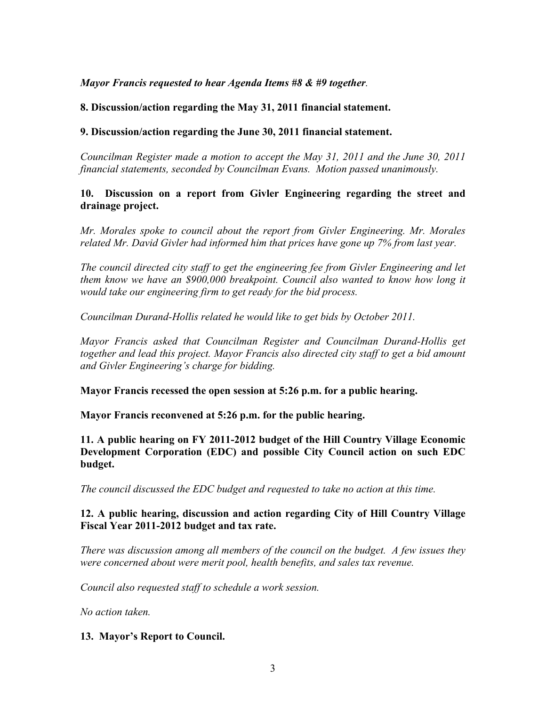#### *Mayor Francis requested to hear Agenda Items #8 & #9 together.*

### **8. Discussion/action regarding the May 31, 2011 financial statement.**

#### **9. Discussion/action regarding the June 30, 2011 financial statement.**

*Councilman Register made a motion to accept the May 31, 2011 and the June 30, 2011 financial statements, seconded by Councilman Evans. Motion passed unanimously.*

#### **10. Discussion on a report from Givler Engineering regarding the street and drainage project.**

*Mr. Morales spoke to council about the report from Givler Engineering. Mr. Morales related Mr. David Givler had informed him that prices have gone up 7% from last year.* 

*The council directed city staff to get the engineering fee from Givler Engineering and let them know we have an \$900,000 breakpoint. Council also wanted to know how long it would take our engineering firm to get ready for the bid process.* 

*Councilman Durand-Hollis related he would like to get bids by October 2011.* 

*Mayor Francis asked that Councilman Register and Councilman Durand-Hollis get together and lead this project. Mayor Francis also directed city staff to get a bid amount and Givler Engineering's charge for bidding.* 

**Mayor Francis recessed the open session at 5:26 p.m. for a public hearing.**

**Mayor Francis reconvened at 5:26 p.m. for the public hearing.** 

**11. A public hearing on FY 2011-2012 budget of the Hill Country Village Economic Development Corporation (EDC) and possible City Council action on such EDC budget.**

*The council discussed the EDC budget and requested to take no action at this time.*

#### **12. A public hearing, discussion and action regarding City of Hill Country Village Fiscal Year 2011-2012 budget and tax rate.**

*There was discussion among all members of the council on the budget. A few issues they were concerned about were merit pool, health benefits, and sales tax revenue.* 

*Council also requested staff to schedule a work session.*

*No action taken.*

## **13. Mayor's Report to Council.**